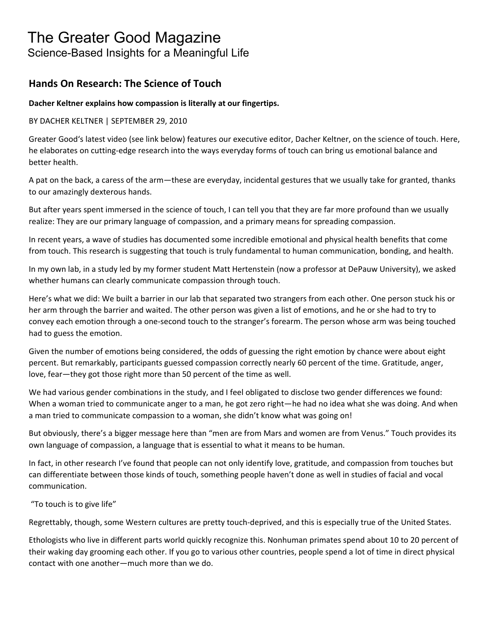# The Greater Good Magazine

Science-Based Insights for a Meaningful Life

# **Hands On Research: The Science of Touch**

## **Dacher Keltner explains how compassion is literally at our fingertips.**

### BY DACHER KELTNER | SEPTEMBER 29, 2010

Greater Good's latest video (see link below) features our executive editor, Dacher Keltner, on the science of touch. Here, he elaborates on cutting‐edge research into the ways everyday forms of touch can bring us emotional balance and better health.

A pat on the back, a caress of the arm—these are everyday, incidental gestures that we usually take for granted, thanks to our amazingly dexterous hands.

But after years spent immersed in the science of touch, I can tell you that they are far more profound than we usually realize: They are our primary language of compassion, and a primary means for spreading compassion.

In recent years, a wave of studies has documented some incredible emotional and physical health benefits that come from touch. This research is suggesting that touch is truly fundamental to human communication, bonding, and health.

In my own lab, in a study led by my former student Matt Hertenstein (now a professor at DePauw University), we asked whether humans can clearly communicate compassion through touch.

Here's what we did: We built a barrier in our lab that separated two strangers from each other. One person stuck his or her arm through the barrier and waited. The other person was given a list of emotions, and he or she had to try to convey each emotion through a one‐second touch to the stranger's forearm. The person whose arm was being touched had to guess the emotion.

Given the number of emotions being considered, the odds of guessing the right emotion by chance were about eight percent. But remarkably, participants guessed compassion correctly nearly 60 percent of the time. Gratitude, anger, love, fear—they got those right more than 50 percent of the time as well.

We had various gender combinations in the study, and I feel obligated to disclose two gender differences we found: When a woman tried to communicate anger to a man, he got zero right—he had no idea what she was doing. And when a man tried to communicate compassion to a woman, she didn't know what was going on!

But obviously, there's a bigger message here than "men are from Mars and women are from Venus." Touch provides its own language of compassion, a language that is essential to what it means to be human.

In fact, in other research I've found that people can not only identify love, gratitude, and compassion from touches but can differentiate between those kinds of touch, something people haven't done as well in studies of facial and vocal communication.

"To touch is to give life"

Regrettably, though, some Western cultures are pretty touch‐deprived, and this is especially true of the United States.

Ethologists who live in different parts world quickly recognize this. Nonhuman primates spend about 10 to 20 percent of their waking day grooming each other. If you go to various other countries, people spend a lot of time in direct physical contact with one another—much more than we do.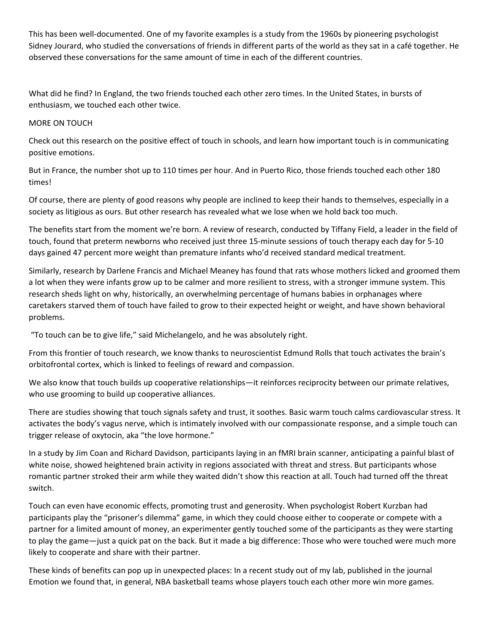This has been well-documented. One of my favorite examples is a study from the 1960s by pioneering psychologist Sidney Jourard, who studied the conversations of friends in different parts of the world as they sat in a café together. He observed these conversations for the same amount of time in each of the different countries.

What did he find? In England, the two friends touched each other zero times. In the United States, in bursts of enthusiasm, we touched each other twice.

#### MORE ON TOUCH

Check out this research on the positive effect of touch in schools, and learn how important touch is in communicating positive emotions.

But in France, the number shot up to 110 times per hour. And in Puerto Rico, those friends touched each other 180 times!

Of course, there are plenty of good reasons why people are inclined to keep their hands to themselves, especially in a society as litigious as ours. But other research has revealed what we lose when we hold back too much.

The benefits start from the moment we're born. A review of research, conducted by Tiffany Field, a leader in the field of touch, found that preterm newborns who received just three 15‐minute sessions of touch therapy each day for 5‐10 days gained 47 percent more weight than premature infants who'd received standard medical treatment.

Similarly, research by Darlene Francis and Michael Meaney has found that rats whose mothers licked and groomed them a lot when they were infants grow up to be calmer and more resilient to stress, with a stronger immune system. This research sheds light on why, historically, an overwhelming percentage of humans babies in orphanages where caretakers starved them of touch have failed to grow to their expected height or weight, and have shown behavioral problems.

"To touch can be to give life," said Michelangelo, and he was absolutely right.

From this frontier of touch research, we know thanks to neuroscientist Edmund Rolls that touch activates the brain's orbitofrontal cortex, which is linked to feelings of reward and compassion.

We also know that touch builds up cooperative relationships—it reinforces reciprocity between our primate relatives, who use grooming to build up cooperative alliances.

There are studies showing that touch signals safety and trust, it soothes. Basic warm touch calms cardiovascular stress. It activates the body's vagus nerve, which is intimately involved with our compassionate response, and a simple touch can trigger release of oxytocin, aka "the love hormone."

In a study by Jim Coan and Richard Davidson, participants laying in an fMRI brain scanner, anticipating a painful blast of white noise, showed heightened brain activity in regions associated with threat and stress. But participants whose romantic partner stroked their arm while they waited didn't show this reaction at all. Touch had turned off the threat switch.

Touch can even have economic effects, promoting trust and generosity. When psychologist Robert Kurzban had participants play the "prisoner's dilemma" game, in which they could choose either to cooperate or compete with a partner for a limited amount of money, an experimenter gently touched some of the participants as they were starting to play the game—just a quick pat on the back. But it made a big difference: Those who were touched were much more likely to cooperate and share with their partner.

These kinds of benefits can pop up in unexpected places: In a recent study out of my lab, published in the journal Emotion we found that, in general, NBA basketball teams whose players touch each other more win more games.